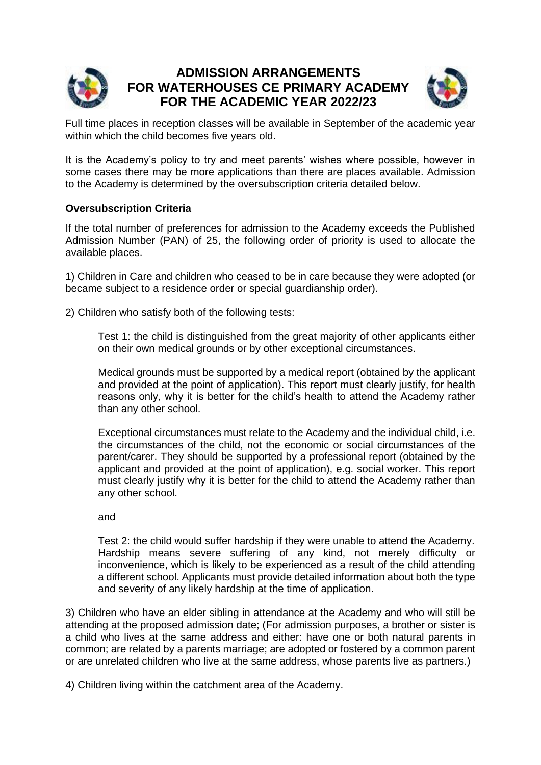

# **ADMISSION ARRANGEMENTS FOR WATERHOUSES CE PRIMARY ACADEMY FOR THE ACADEMIC YEAR 2022/23**



Full time places in reception classes will be available in September of the academic year within which the child becomes five years old.

It is the Academy's policy to try and meet parents' wishes where possible, however in some cases there may be more applications than there are places available. Admission to the Academy is determined by the oversubscription criteria detailed below.

## **Oversubscription Criteria**

If the total number of preferences for admission to the Academy exceeds the Published Admission Number (PAN) of 25, the following order of priority is used to allocate the available places.

1) Children in Care and children who ceased to be in care because they were adopted (or became subject to a residence order or special guardianship order).

2) Children who satisfy both of the following tests:

Test 1: the child is distinguished from the great majority of other applicants either on their own medical grounds or by other exceptional circumstances.

Medical grounds must be supported by a medical report (obtained by the applicant and provided at the point of application). This report must clearly justify, for health reasons only, why it is better for the child's health to attend the Academy rather than any other school.

Exceptional circumstances must relate to the Academy and the individual child, i.e. the circumstances of the child, not the economic or social circumstances of the parent/carer. They should be supported by a professional report (obtained by the applicant and provided at the point of application), e.g. social worker. This report must clearly justify why it is better for the child to attend the Academy rather than any other school.

and

Test 2: the child would suffer hardship if they were unable to attend the Academy. Hardship means severe suffering of any kind, not merely difficulty or inconvenience, which is likely to be experienced as a result of the child attending a different school. Applicants must provide detailed information about both the type and severity of any likely hardship at the time of application.

3) Children who have an elder sibling in attendance at the Academy and who will still be attending at the proposed admission date; (For admission purposes, a brother or sister is a child who lives at the same address and either: have one or both natural parents in common; are related by a parents marriage; are adopted or fostered by a common parent or are unrelated children who live at the same address, whose parents live as partners.)

4) Children living within the catchment area of the Academy.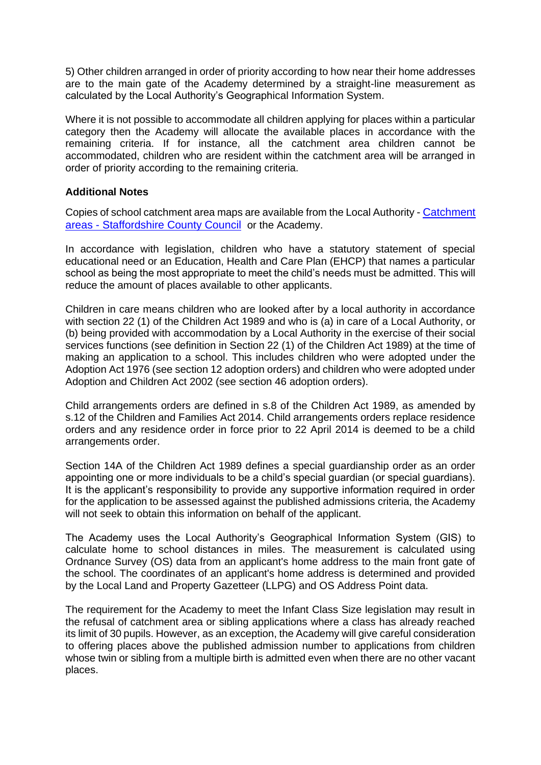5) Other children arranged in order of priority according to how near their home addresses are to the main gate of the Academy determined by a straight-line measurement as calculated by the Local Authority's Geographical Information System.

Where it is not possible to accommodate all children applying for places within a particular category then the Academy will allocate the available places in accordance with the remaining criteria. If for instance, all the catchment area children cannot be accommodated, children who are resident within the catchment area will be arranged in order of priority according to the remaining criteria.

## **Additional Notes**

Copies of school catchment area maps are available from the Local Authority - [Catchment](https://www.staffordshire.gov.uk/Education/Admissions-primary/Catchment-areas.aspx)  areas - [Staffordshire County Council](https://www.staffordshire.gov.uk/Education/Admissions-primary/Catchment-areas.aspx) or the Academy.

In accordance with legislation, children who have a statutory statement of special educational need or an Education, Health and Care Plan (EHCP) that names a particular school as being the most appropriate to meet the child's needs must be admitted. This will reduce the amount of places available to other applicants.

Children in care means children who are looked after by a local authority in accordance with section 22 (1) of the Children Act 1989 and who is (a) in care of a Local Authority, or (b) being provided with accommodation by a Local Authority in the exercise of their social services functions (see definition in Section 22 (1) of the Children Act 1989) at the time of making an application to a school. This includes children who were adopted under the Adoption Act 1976 (see section 12 adoption orders) and children who were adopted under Adoption and Children Act 2002 (see section 46 adoption orders).

Child arrangements orders are defined in s.8 of the Children Act 1989, as amended by s.12 of the Children and Families Act 2014. Child arrangements orders replace residence orders and any residence order in force prior to 22 April 2014 is deemed to be a child arrangements order.

Section 14A of the Children Act 1989 defines a special guardianship order as an order appointing one or more individuals to be a child's special guardian (or special guardians). It is the applicant's responsibility to provide any supportive information required in order for the application to be assessed against the published admissions criteria, the Academy will not seek to obtain this information on behalf of the applicant.

The Academy uses the Local Authority's Geographical Information System (GIS) to calculate home to school distances in miles. The measurement is calculated using Ordnance Survey (OS) data from an applicant's home address to the main front gate of the school. The coordinates of an applicant's home address is determined and provided by the Local Land and Property Gazetteer (LLPG) and OS Address Point data.

The requirement for the Academy to meet the Infant Class Size legislation may result in the refusal of catchment area or sibling applications where a class has already reached its limit of 30 pupils. However, as an exception, the Academy will give careful consideration to offering places above the published admission number to applications from children whose twin or sibling from a multiple birth is admitted even when there are no other vacant places.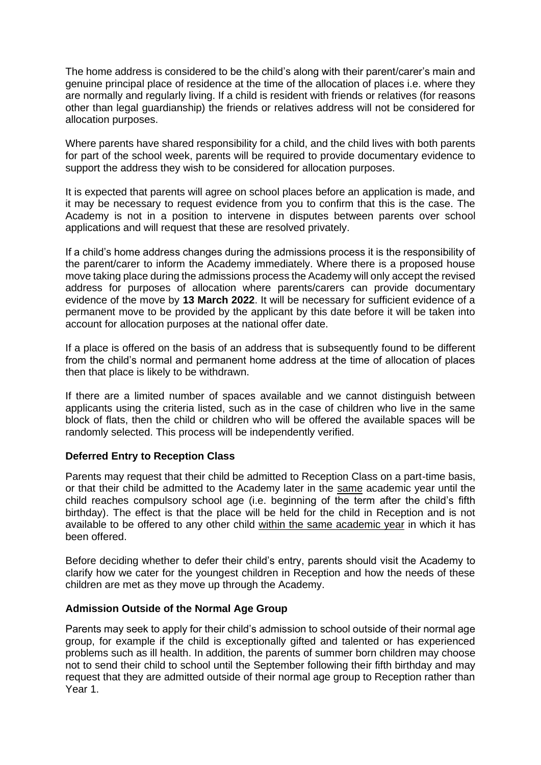The home address is considered to be the child's along with their parent/carer's main and genuine principal place of residence at the time of the allocation of places i.e. where they are normally and regularly living. If a child is resident with friends or relatives (for reasons other than legal guardianship) the friends or relatives address will not be considered for allocation purposes.

Where parents have shared responsibility for a child, and the child lives with both parents for part of the school week, parents will be required to provide documentary evidence to support the address they wish to be considered for allocation purposes.

It is expected that parents will agree on school places before an application is made, and it may be necessary to request evidence from you to confirm that this is the case. The Academy is not in a position to intervene in disputes between parents over school applications and will request that these are resolved privately.

If a child's home address changes during the admissions process it is the responsibility of the parent/carer to inform the Academy immediately. Where there is a proposed house move taking place during the admissions process the Academy will only accept the revised address for purposes of allocation where parents/carers can provide documentary evidence of the move by **13 March 2022**. It will be necessary for sufficient evidence of a permanent move to be provided by the applicant by this date before it will be taken into account for allocation purposes at the national offer date.

If a place is offered on the basis of an address that is subsequently found to be different from the child's normal and permanent home address at the time of allocation of places then that place is likely to be withdrawn.

If there are a limited number of spaces available and we cannot distinguish between applicants using the criteria listed, such as in the case of children who live in the same block of flats, then the child or children who will be offered the available spaces will be randomly selected. This process will be independently verified.

## **Deferred Entry to Reception Class**

Parents may request that their child be admitted to Reception Class on a part-time basis, or that their child be admitted to the Academy later in the same academic year until the child reaches compulsory school age (i.e. beginning of the term after the child's fifth birthday). The effect is that the place will be held for the child in Reception and is not available to be offered to any other child within the same academic year in which it has been offered.

Before deciding whether to defer their child's entry, parents should visit the Academy to clarify how we cater for the youngest children in Reception and how the needs of these children are met as they move up through the Academy.

## **Admission Outside of the Normal Age Group**

Parents may seek to apply for their child's admission to school outside of their normal age group, for example if the child is exceptionally gifted and talented or has experienced problems such as ill health. In addition, the parents of summer born children may choose not to send their child to school until the September following their fifth birthday and may request that they are admitted outside of their normal age group to Reception rather than Year 1.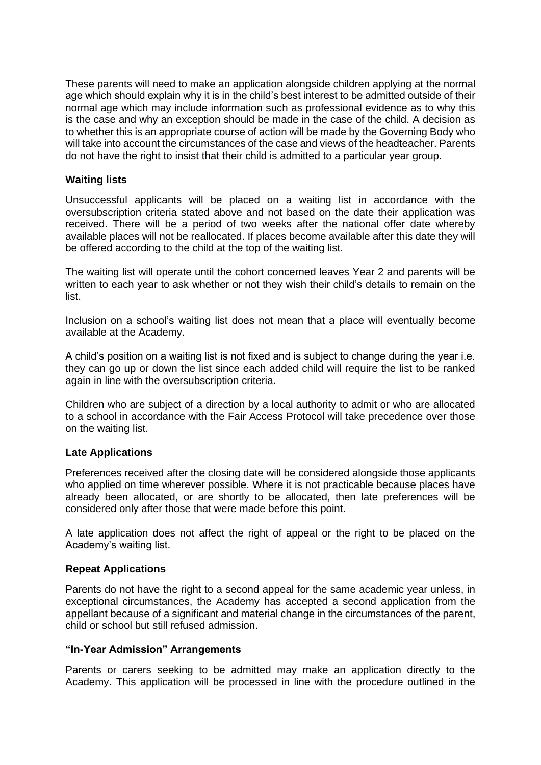These parents will need to make an application alongside children applying at the normal age which should explain why it is in the child's best interest to be admitted outside of their normal age which may include information such as professional evidence as to why this is the case and why an exception should be made in the case of the child. A decision as to whether this is an appropriate course of action will be made by the Governing Body who will take into account the circumstances of the case and views of the headteacher. Parents do not have the right to insist that their child is admitted to a particular year group.

## **Waiting lists**

Unsuccessful applicants will be placed on a waiting list in accordance with the oversubscription criteria stated above and not based on the date their application was received. There will be a period of two weeks after the national offer date whereby available places will not be reallocated. If places become available after this date they will be offered according to the child at the top of the waiting list.

The waiting list will operate until the cohort concerned leaves Year 2 and parents will be written to each year to ask whether or not they wish their child's details to remain on the list.

Inclusion on a school's waiting list does not mean that a place will eventually become available at the Academy.

A child's position on a waiting list is not fixed and is subject to change during the year i.e. they can go up or down the list since each added child will require the list to be ranked again in line with the oversubscription criteria.

Children who are subject of a direction by a local authority to admit or who are allocated to a school in accordance with the Fair Access Protocol will take precedence over those on the waiting list.

#### **Late Applications**

Preferences received after the closing date will be considered alongside those applicants who applied on time wherever possible. Where it is not practicable because places have already been allocated, or are shortly to be allocated, then late preferences will be considered only after those that were made before this point.

A late application does not affect the right of appeal or the right to be placed on the Academy's waiting list.

#### **Repeat Applications**

Parents do not have the right to a second appeal for the same academic year unless, in exceptional circumstances, the Academy has accepted a second application from the appellant because of a significant and material change in the circumstances of the parent, child or school but still refused admission.

#### **"In-Year Admission" Arrangements**

Parents or carers seeking to be admitted may make an application directly to the Academy. This application will be processed in line with the procedure outlined in the